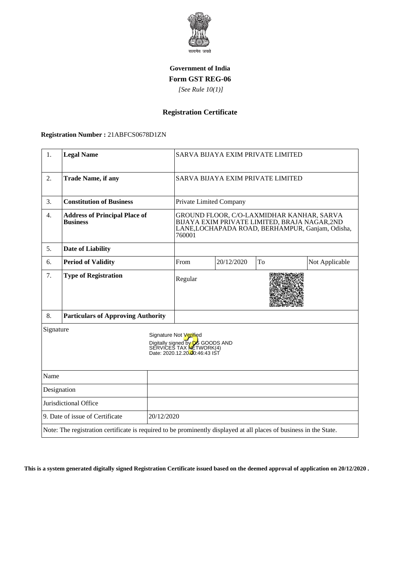

### **Government of India Form GST REG-06**

 *[See Rule 10(1)]*

# **Registration Certificate**

#### **Registration Number :** 21ABFCS0678D1ZN

| 1.                                            | <b>Legal Name</b>                                                                                                  |  | SARVA BIJAYA EXIM PRIVATE LIMITED                                                                                                                       |            |    |                |
|-----------------------------------------------|--------------------------------------------------------------------------------------------------------------------|--|---------------------------------------------------------------------------------------------------------------------------------------------------------|------------|----|----------------|
| 2.                                            | <b>Trade Name, if any</b>                                                                                          |  | SARVA BIJAYA EXIM PRIVATE LIMITED                                                                                                                       |            |    |                |
| 3.                                            | <b>Constitution of Business</b>                                                                                    |  | Private Limited Company                                                                                                                                 |            |    |                |
| 4.                                            | <b>Address of Principal Place of</b><br><b>Business</b>                                                            |  | GROUND FLOOR, C/O-LAXMIDHAR KANHAR, SARVA<br>BIJAYA EXIM PRIVATE LIMITED, BRAJA NAGAR,2ND<br>LANE, LOCHAPADA ROAD, BERHAMPUR, Ganjam, Odisha,<br>760001 |            |    |                |
| 5.                                            | <b>Date of Liability</b>                                                                                           |  |                                                                                                                                                         |            |    |                |
| 6.                                            | <b>Period of Validity</b>                                                                                          |  | From                                                                                                                                                    | 20/12/2020 | To | Not Applicable |
| 7.                                            | <b>Type of Registration</b>                                                                                        |  | Regular                                                                                                                                                 |            |    |                |
| 8.                                            | <b>Particulars of Approving Authority</b>                                                                          |  |                                                                                                                                                         |            |    |                |
| Signature                                     |                                                                                                                    |  | Signature Not Verified<br>Digitally signed by <b>DS</b> GOODS AND<br>SERVICES TAX NETWORK(4)<br>Date: 2020.12.20-00:46:43 IST                           |            |    |                |
| Name                                          |                                                                                                                    |  |                                                                                                                                                         |            |    |                |
| Designation                                   |                                                                                                                    |  |                                                                                                                                                         |            |    |                |
| Jurisdictional Office                         |                                                                                                                    |  |                                                                                                                                                         |            |    |                |
| 20/12/2020<br>9. Date of issue of Certificate |                                                                                                                    |  |                                                                                                                                                         |            |    |                |
|                                               | Note: The registration certificate is required to be prominently displayed at all places of business in the State. |  |                                                                                                                                                         |            |    |                |

**This is a system generated digitally signed Registration Certificate issued based on the deemed approval of application on 20/12/2020 .**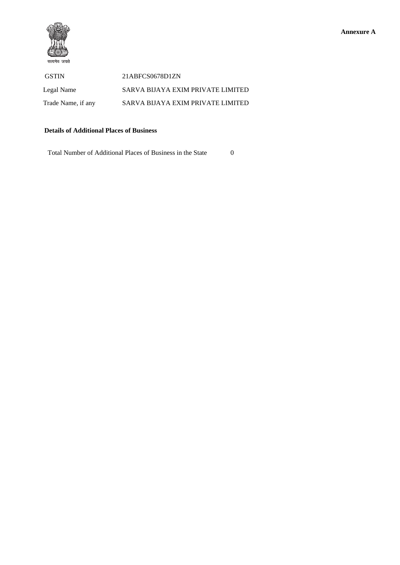



 GSTIN 21ABFCS0678D1ZN Legal Name SARVA BIJAYA EXIM PRIVATE LIMITED Trade Name, if any SARVA BIJAYA EXIM PRIVATE LIMITED

### **Details of Additional Places of Business**

Total Number of Additional Places of Business in the State 0